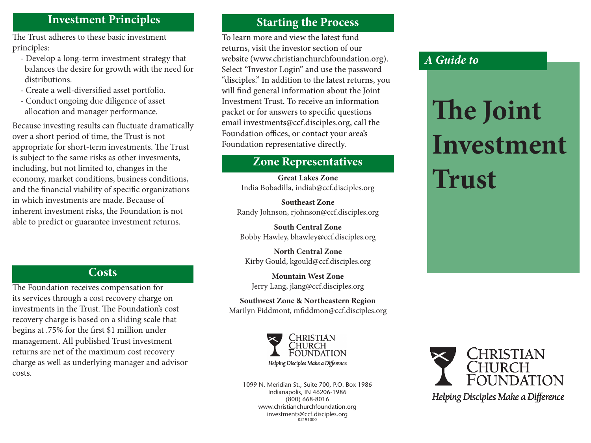#### **Investment Principles**

The Trust adheres to these basic investment principles:

- Develop a long-term investment strategy that balances the desire for growth with the need for distributions.
- Create a well-diversified asset portfolio.
- Conduct ongoing due diligence of asset allocation and manager performance.

Because investing results can fluctuate dramatically over a short period of time, the Trust is not appropriate for short-term investments. The Trust is subject to the same risks as other invesments, including, but not limited to, changes in the economy, market conditions, business conditions, and the financial viability of specific organizations in which investments are made. Because of inherent investment risks, the Foundation is not able to predict or guarantee investment returns.

## **Costs**

The Foundation receives compensation for its services through a cost recovery charge on investments in the Trust. The Foundation's cost recovery charge is based on a sliding scale that begins at .75% for the first \$1 million under management. All published Trust investment returns are net of the maximum cost recovery charge as well as underlying manager and advisor costs.

## **Starting the Process**

To learn more and view the latest fund returns, visit the investor section of our website (www.christianchurchfoundation.org). Select "Investor Login" and use the password "disciples." In addition to the latest returns, you will find general information about the Joint Investment Trust. To receive an information packet or for answers to specific questions email investments@ccf.disciples.org, call the Foundation offices, or contact your area's Foundation representative directly.

# **Zone Representatives**

**Great Lakes Zone** India Bobadilla, indiab@ccf.disciples.org

**Southeast Zone** Randy Johnson, rjohnson@ccf.disciples.org

**South Central Zone** Bobby Hawley, bhawley@ccf.disciples.org

**North Central Zone** Kirby Gould, kgould@ccf.disciples.org

**Mountain West Zone** Jerry Lang, jlang@ccf.disciples.org

**Southwest Zone & Northeastern Region** Marilyn Fiddmont, mfiddmon@ccf.disciples.org



1099 N. Meridian St., Suite 700, P.O. Box 1986 Indianapolis, IN 46206-1986 (800) 668-8016 www.christianchurchfoundation.org investments@ccf.disciples.org 02191000

# CHRISTIAN FOUNDATION

Helping Disciples Make a Difference

# *A Guide to*

# **The Joint Investment Trust**